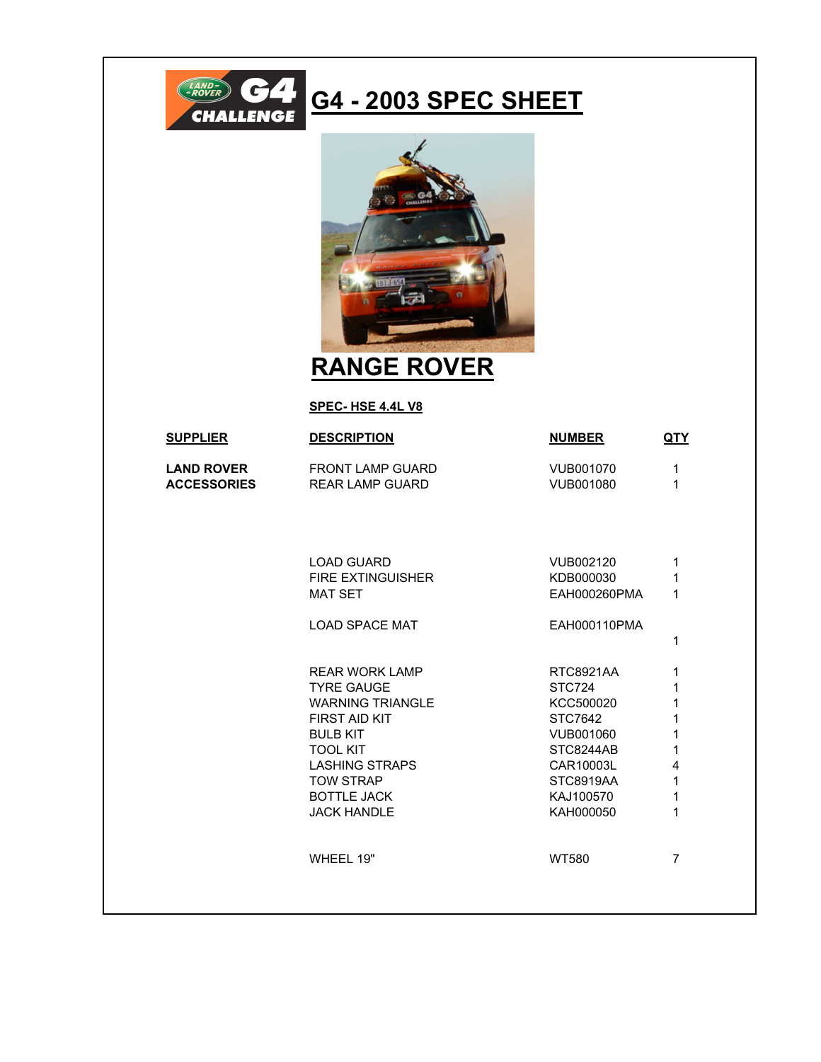

## **G4 - 2003 SPEC SHEET**



## **RANGE ROVER**

## **SPEC- HSE 4.4L V8**

| <b>SUPPLIER</b>                         | <b>DESCRIPTION</b>                                | <b>NUMBER</b>                 | QTY            |
|-----------------------------------------|---------------------------------------------------|-------------------------------|----------------|
| <b>LAND ROVER</b><br><b>ACCESSORIES</b> | <b>FRONT LAMP GUARD</b><br><b>REAR LAMP GUARD</b> | VUB001070<br><b>VUB001080</b> | 1<br>1         |
|                                         |                                                   |                               |                |
|                                         | <b>LOAD GUARD</b>                                 | VUB002120                     | 1              |
|                                         | <b>FIRE EXTINGUISHER</b>                          | KDB000030                     | 1              |
|                                         | <b>MAT SET</b>                                    | EAH000260PMA                  | 1              |
|                                         | <b>LOAD SPACE MAT</b>                             | EAH000110PMA                  |                |
|                                         |                                                   |                               | 1              |
|                                         | <b>REAR WORK LAMP</b>                             | <b>RTC8921AA</b>              | 1              |
|                                         | <b>TYRE GAUGE</b>                                 | <b>STC724</b>                 | 1              |
|                                         | <b>WARNING TRIANGLE</b>                           | KCC500020                     | 1              |
|                                         | <b>FIRST AID KIT</b>                              | STC7642                       | 1              |
|                                         | <b>BULB KIT</b><br><b>TOOL KIT</b>                | VUB001060<br>STC8244AB        | 1<br>1         |
|                                         | <b>LASHING STRAPS</b>                             | CAR10003L                     | 4              |
|                                         | <b>TOW STRAP</b>                                  | <b>STC8919AA</b>              | 1              |
|                                         | <b>BOTTLE JACK</b>                                | KAJ100570                     | 1              |
|                                         | <b>JACK HANDLE</b>                                | KAH000050                     | 1              |
|                                         |                                                   |                               |                |
|                                         | WHEEL 19"                                         | <b>WT580</b>                  | $\overline{7}$ |
|                                         |                                                   |                               |                |
|                                         |                                                   |                               |                |